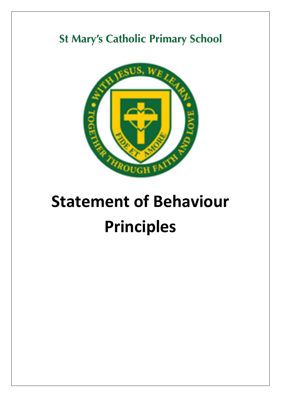## **St Mary's Catholic Primary School**



## **Statement of Behaviour Principles**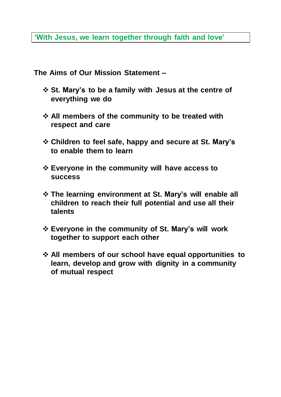**'With Jesus, we learn together through faith and love'**

**The Aims of Our Mission Statement –**

- **St. Mary's to be a family with Jesus at the centre of everything we do**
- **All members of the community to be treated with respect and care**
- **Children to feel safe, happy and secure at St. Mary's to enable them to learn**
- **Everyone in the community will have access to success**
- **The learning environment at St. Mary's will enable all children to reach their full potential and use all their talents**
- **Everyone in the community of St. Mary's will work together to support each other**
- **All members of our school have equal opportunities to learn, develop and grow with dignity in a community of mutual respect**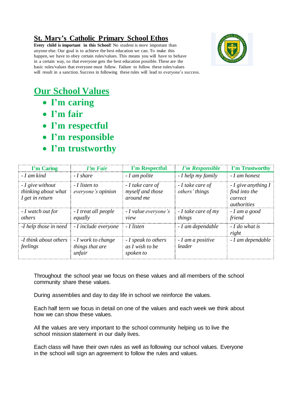## **St. Mary's Catholic Primary School Ethos**

**Every child is important in this School!** No student is *more* important than anyone else. Our goal is to achieve the best education we can. To make this happen, we have to obey certain rules/values. This means you will have to behave in a certain way, so that everyone gets the best education possible. These are the basic rules/values that everyone must follow. Failure to follow these rules/values will result in a sanction. Success in following these rules will lead to everyone's success.



## **Our School Values**

- **I'm caring**
- **I'm fair**
- **I'm respectful**
- **I'm responsible**
- **I'm trustworthy**

| I'm Caring                                                               | <b><i>I'm Fair</i></b>                          | I'm Respectful                                      | <b><i>I'm Responsible</i></b>      | <b>I'm Trustworthy</b>                                                               |
|--------------------------------------------------------------------------|-------------------------------------------------|-----------------------------------------------------|------------------------------------|--------------------------------------------------------------------------------------|
| - I am kind                                                              | - I share                                       | - I am polite                                       | - I help my family                 | - I am honest                                                                        |
| - I give without<br>thinking about what<br>I get in return               | - I listen to<br>everyone's opinion             | - I take care of<br>myself and those<br>around me   | - I take care of<br>others' things | $-I$ give anything I<br>find into the<br>correct<br><i><u><u>authorities</u></u></i> |
| - I watch out for<br>others                                              | - I treat all people<br>equally                 | - I value everyone's<br>view                        | $-I$ take care of my<br>things     | - I am a good<br>friend                                                              |
| - <i>I</i> help those in need $\blacksquare$ - <i>I</i> include everyone |                                                 | - I listen                                          | - I am dependable                  | $-I$ do what is<br>right                                                             |
| -I think about others<br>feelings                                        | - I work to change<br>things that are<br>unfair | - I speak to others<br>as I wish to be<br>spoken to | - I am a positive<br>leader        | - I am dependable                                                                    |

Throughout the school year we focus on these values and all members of the school community share these values.

During assemblies and day to day life in school we reinforce the values.

Each half term we focus in detail on one of the values and each week we think about how we can show these values.

All the values are very important to the school community helping us to live the school mission statement in our daily lives.

Each class will have their own rules as well as following our school values. Everyone in the school will sign an agreement to follow the rules and values.